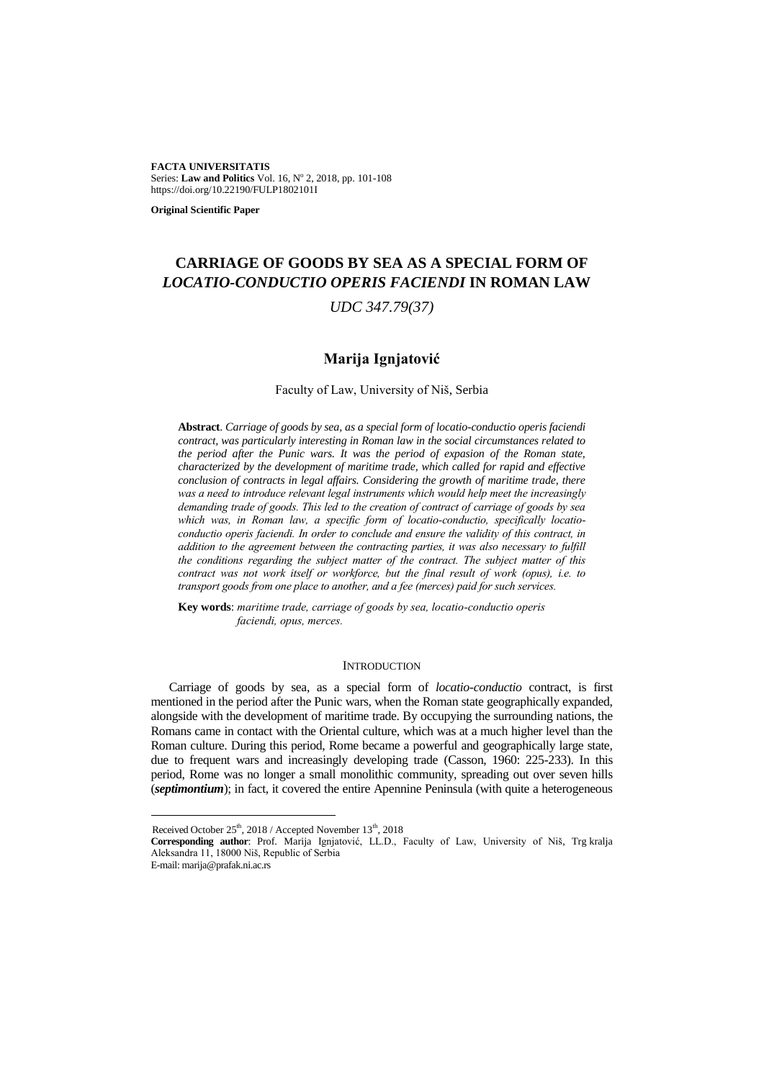**FACTA UNIVERSITATIS** Series: Law and Politics Vol. 16, Nº 2, 2018, pp. 101-108 https://doi.org/10.22190/FULP1802101I

**Original Scientific Paper**

# **CARRIAGE OF GOODS BY SEA AS A SPECIAL FORM OF** *LOCATIO-CONDUCTIO OPERIS FACIENDI* **IN ROMAN LAW**

# *UDC 347.79(37)*

# **Marija Ignjatović**

### Faculty of Law, University of Niš, Serbia

**Abstract**. *Carriage of goods by sea, as a special form of locatio-conductio operis faciendi contract, was particularly interesting in Roman law in the social circumstances related to the period after the Punic wars. It was the period of expasion of the Roman state, characterized by the development of maritime trade, which called for rapid and effective conclusion of contracts in legal affairs. Considering the growth of maritime trade, there was a need to introduce relevant legal instruments which would help meet the increasingly demanding trade of goods. This led to the creation of contract of carriage of goods by sea which was, in Roman law, a specific form of locatio-conductio, specifically locatioconductio operis faciendi. In order to conclude and ensure the validity of this contract, in addition to the agreement between the contracting parties, it was also necessary to fulfill the conditions regarding the subject matter of the contract. The subject matter of this contract was not work itself or workforce, but the final result of work (opus), i.e. to transport goods from one place to another, and a fee (merces) paid for such services.*

**Key words**: *maritime trade, carriage of goods by sea, locatio-conductio operis faciendi, opus, merces.*

#### **INTRODUCTION**

Carriage of goods by sea, as a special form of *locatio-conductio* contract, is first mentioned in the period after the Punic wars, when the Roman state geographically expanded, alongside with the development of maritime trade. By occupying the surrounding nations, the Romans came in contact with the Oriental culture, which was at a much higher level than the Roman culture. During this period, Rome became a powerful and geographically large state, due to frequent wars and increasingly developing trade (Casson, 1960: 225-233). In this period, Rome was no longer a small monolithic community, spreading out over seven hills (*septimontium*); in fact, it covered the entire Apennine Peninsula (with quite a heterogeneous

 $\overline{a}$ 

Received October 25<sup>th</sup>, 2018 / Accepted November 13<sup>th</sup>, 2018

**Corresponding author**: Prof. Marija Ignjatović, LL.D., Faculty of Law, University of Niš, Trg kralja Aleksandra 11, 18000 Niš, Republic of Serbia

E-mail: marija@prafak.ni.ac.rs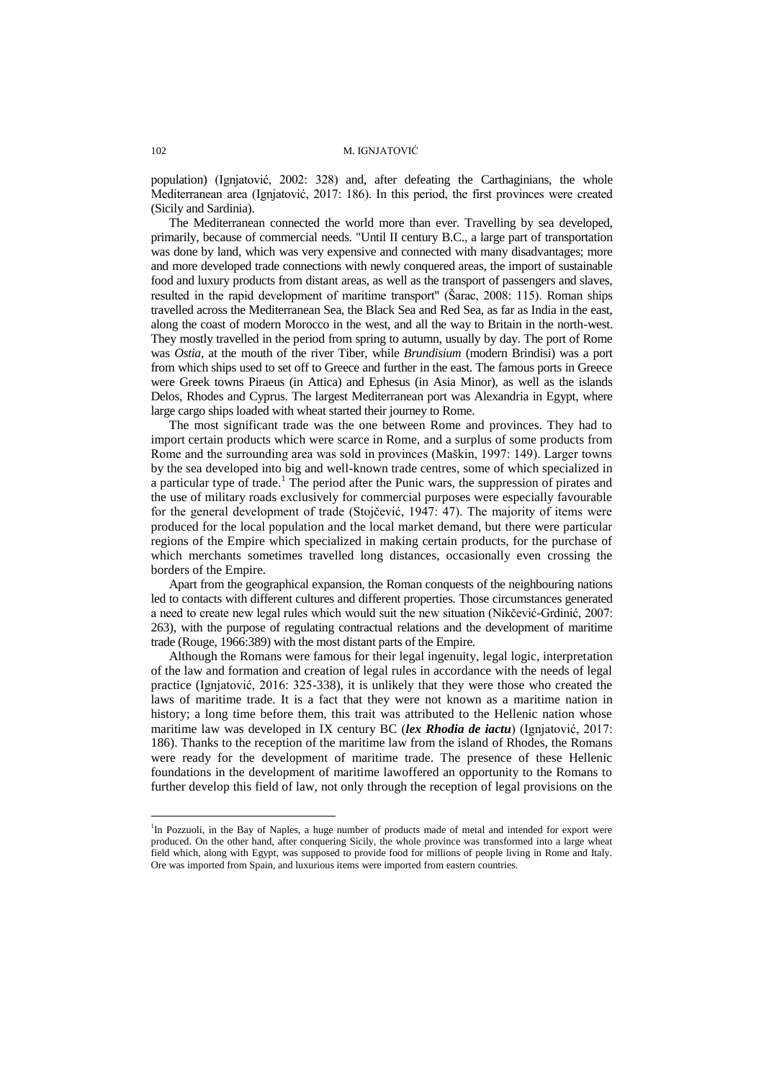population) (Ignjatović, 2002: 328) and, after defeating the Carthaginians, the whole Mediterranean area (Ignjatović, 2017: 186). In this period, the first provinces were created (Sicily and Sardinia).

The Mediterranean connected the world more than ever. Travelling by sea developed, primarily, because of commercial needs. "Until II century B.C., a large part of transportation was done by land, which was very expensive and connected with many disadvantages; more and more developed trade connections with newly conquered areas, the import of sustainable food and luxury products from distant areas, as well as the transport of passengers and slaves, resulted in the rapid development of maritime transport" (Šarac, 2008: 115). Roman ships travelled across the Mediterranean Sea, the Black Sea and Red Sea, as far as India in the east, along the coast of modern Morocco in the west, and all the way to Britain in the north-west. They mostly travelled in the period from spring to autumn, usually by day. The port of Rome was *Ostia,* at the mouth of the river Tiber, while *Brundisium* (modern Brindisi) was a port from which ships used to set off to Greece and further in the east. The famous ports in Greece were Greek towns Piraeus (in Attica) and Ephesus (in Asia Minor), as well as the islands Delos, Rhodes and Cyprus. The largest Mediterranean port was Alexandria in Egypt, where large cargo ships loaded with wheat started their journey to Rome.

The most significant trade was the one between Rome and provinces. They had to import certain products which were scarce in Rome, and a surplus of some products from Rome and the surrounding area was sold in provinces (Maškin, 1997: 149). Larger towns by the sea developed into big and well-known trade centres, some of which specialized in a particular type of trade.<sup>1</sup> The period after the Punic wars, the suppression of pirates and the use of military roads exclusively for commercial purposes were especially favourable for the general development of trade (Stojčević, 1947: 47). The majority of items were produced for the local population and the local market demand, but there were particular regions of the Empire which specialized in making certain products, for the purchase of which merchants sometimes travelled long distances, occasionally even crossing the borders of the Empire.

Apart from the geographical expansion, the Roman conquests of the neighbouring nations led to contacts with different cultures and different properties. Those circumstances generated a need to create new legal rules which would suit the new situation (Nikčević-Grdinić, 2007: 263), with the purpose of regulating contractual relations and the development of maritime trade (Rouge, 1966:389) with the most distant parts of the Empire.

Although the Romans were famous for their legal ingenuity, legal logic, interpretation of the law and formation and creation of legal rules in accordance with the needs of legal practice (Ignjatović, 2016: 325-338), it is unlikely that they were those who created the laws of maritime trade. It is a fact that they were not known as a maritime nation in history; a long time before them, this trait was attributed to the Hellenic nation whose maritime law was developed in IX century BC (*lex Rhodia de iactu*) (Ignjatović, 2017: 186). Thanks to the reception of the maritime law from the island of Rhodes, the Romans were ready for the development of maritime trade. The presence of these Hellenic foundations in the development of maritime lawoffered an opportunity to the Romans to further develop this field of law, not only through the reception of legal provisions on the

 $\overline{a}$ 

<sup>&</sup>lt;sup>1</sup>In Pozzuoli, in the Bay of Naples, a huge number of products made of metal and intended for export were produced. On the other hand, after conquering Sicily, the whole province was transformed into a large wheat field which, along with Egypt, was supposed to provide food for millions of people living in Rome and Italy. Ore was imported from Spain, and luxurious items were imported from eastern countries.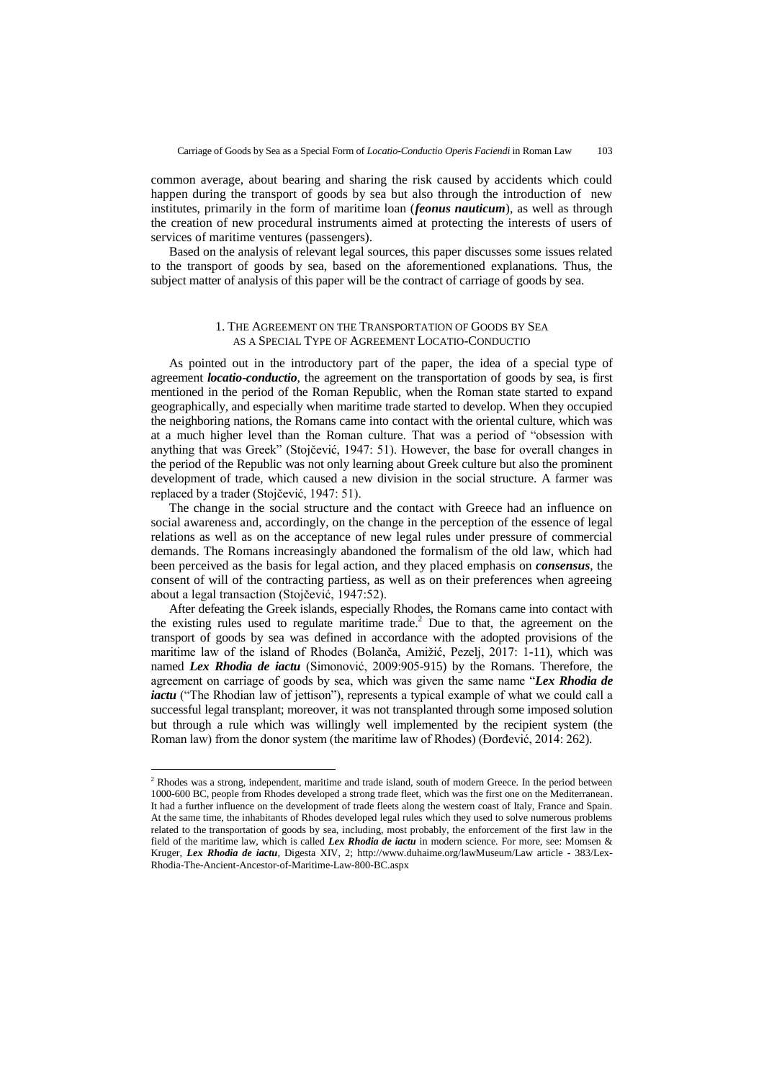common average, about bearing and sharing the risk caused by accidents which could happen during the transport of goods by sea but also through the introduction of new institutes, primarily in the form of maritime loan (*feonus nauticum*), as well as through the creation of new procedural instruments aimed at protecting the interests of users of services of maritime ventures (passengers).

Based on the analysis of relevant legal sources, this paper discusses some issues related to the transport of goods by sea, based on the aforementioned explanations. Thus, the subject matter of analysis of this paper will be the contract of carriage of goods by sea.

#### 1. THE AGREEMENT ON THE TRANSPORTATION OF GOODS BY SEA AS A SPECIAL TYPE OF AGREEMENT LOCATIO-CONDUCTIO

As pointed out in the introductory part of the paper, the idea of a special type of agreement *locatio*-*conductio*, the agreement on the transportation of goods by sea, is first mentioned in the period of the Roman Republic, when the Roman state started to expand geographically, and especially when maritime trade started to develop. When they occupied the neighboring nations, the Romans came into contact with the oriental culture, which was at a much higher level than the Roman culture. That was a period of "obsession with anything that was Greek" (Stojčević, 1947: 51). However, the base for overall changes in the period of the Republic was not only learning about Greek culture but also the prominent development of trade, which caused a new division in the social structure. A farmer was replaced by a trader (Stojčević, 1947: 51).

The change in the social structure and the contact with Greece had an influence on social awareness and, accordingly, on the change in the perception of the essence of legal relations as well as on the acceptance of new legal rules under pressure of commercial demands. The Romans increasingly abandoned the formalism of the old law, which had been perceived as the basis for legal action, and they placed emphasis on *consensus*, the consent of will of the contracting partiess, as well as on their preferences when agreeing about a legal transaction (Stojčević, 1947:52).

After defeating the Greek islands, especially Rhodes, the Romans came into contact with the existing rules used to regulate maritime trade.<sup>2</sup> Due to that, the agreement on the transport of goods by sea was defined in accordance with the adopted provisions of the maritime law of the island of Rhodes (Bolanča, Amižić, Pezelj, 2017: 1-11), which was named *Lex Rhodia de iactu* (Simonović, 2009:905-915) by the Romans. Therefore, the agreement on carriage of goods by sea, which was given the same name "*Lex Rhodia de iactu* ("The Rhodian law of jettison"), represents a typical example of what we could call a successful legal transplant; moreover, it was not transplanted through some imposed solution but through a rule which was willingly well implemented by the recipient system (the Roman law) from the donor system (the maritime law of Rhodes) (Đorđević, 2014: 262).

 $\overline{a}$ 

<sup>&</sup>lt;sup>2</sup> Rhodes was a strong, independent, maritime and trade island, south of modern Greece. In the period between 1000-600 BC, people from Rhodes developed a strong trade fleet, which was the first one on the Mediterranean. It had a further influence on the development of trade fleets along the western coast of Italy, France and Spain. At the same time, the inhabitants of Rhodes developed legal rules which they used to solve numerous problems related to the transportation of goods by sea, including, most probably, the enforcement of the first law in the field of the maritime law, which is called *Lex Rhodia de iactu* in modern science. For more, see: Momsen & Kruger, *Lex Rhodia de iactu*, Digesta XIV, 2; http://www.duhaime.org/lawMuseum/Law article - 383/Lex-Rhodia-The-Ancient-Ancestor-of-Maritime-Law-800-BC.aspx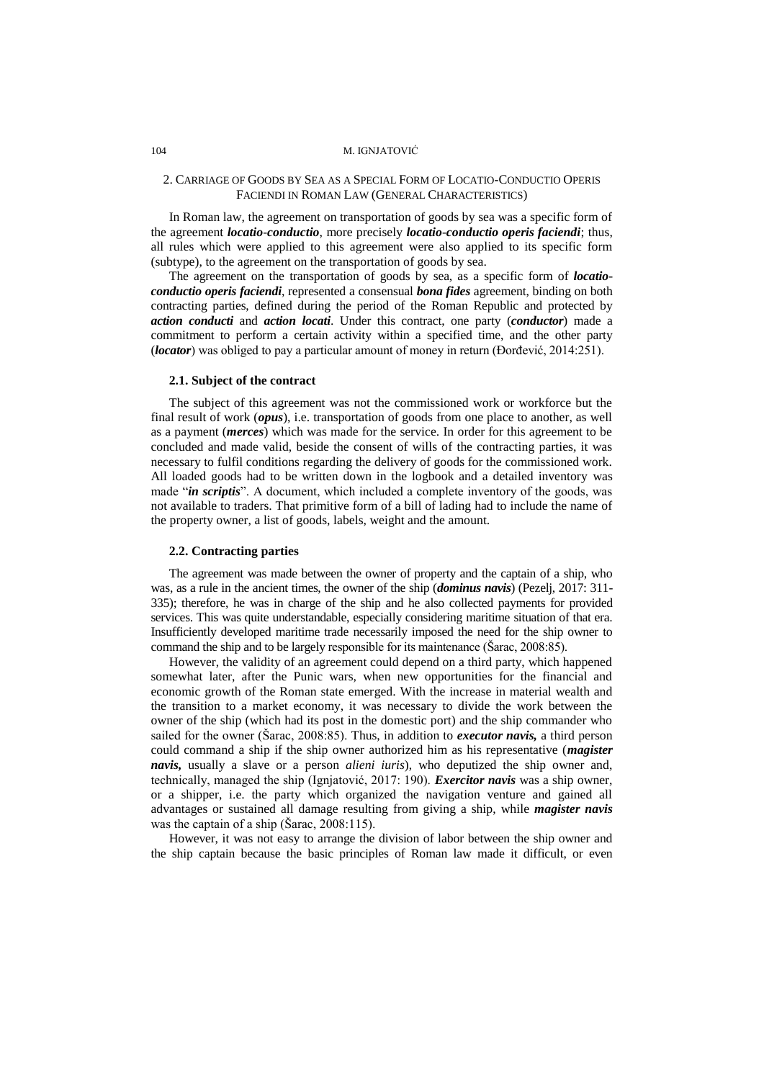#### 104 M. IGNJATOVIĆ

#### 2. CARRIAGE OF GOODS BY SEA AS A SPECIAL FORM OF LOCATIO-CONDUCTIO OPERIS FACIENDI IN ROMAN LAW (GENERAL CHARACTERISTICS)

In Roman law, the agreement on transportation of goods by sea was a specific form of the agreement *locatio*-*conductio*, more precisely *locatio*-*conductio operis faciendi*; thus, all rules which were applied to this agreement were also applied to its specific form (subtype), to the agreement on the transportation of goods by sea.

The agreement on the transportation of goods by sea, as a specific form of *locatioconductio operis faciendi*, represented a consensual *bona fides* agreement, binding on both contracting parties, defined during the period of the Roman Republic and protected by *action conducti* and *action locati*. Under this contract, one party (*conductor*) made a commitment to perform a certain activity within a specified time, and the other party (*locator*) was obliged to pay a particular amount of money in return (Đorđević, 2014:251).

#### **2.1. Subject of the contract**

The subject of this agreement was not the commissioned work or workforce but the final result of work (*opus*), i.e. transportation of goods from one place to another, as well as a payment (*merces*) which was made for the service. In order for this agreement to be concluded and made valid, beside the consent of wills of the contracting parties, it was necessary to fulfil conditions regarding the delivery of goods for the commissioned work. All loaded goods had to be written down in the logbook and a detailed inventory was made "*in scriptis*". A document, which included a complete inventory of the goods, was not available to traders. That primitive form of a bill of lading had to include the name of the property owner, a list of goods, labels, weight and the amount.

#### **2.2. Contracting parties**

The agreement was made between the owner of property and the captain of a ship, who was, as a rule in the ancient times, the owner of the ship (*dominus navis*) (Pezelj, 2017: 311- 335); therefore, he was in charge of the ship and he also collected payments for provided services. This was quite understandable, especially considering maritime situation of that era. Insufficiently developed maritime trade necessarily imposed the need for the ship owner to command the ship and to be largely responsible for its maintenance (Šarac, 2008:85).

However, the validity of an agreement could depend on a third party, which happened somewhat later, after the Punic wars, when new opportunities for the financial and economic growth of the Roman state emerged. With the increase in material wealth and the transition to a market economy, it was necessary to divide the work between the owner of the ship (which had its post in the domestic port) and the ship commander who sailed for the owner (Šarac, 2008:85). Thus, in addition to *executor navis,* a third person could command a ship if the ship owner authorized him as his representative (*magister navis*, usually a slave or a person *alieni iuris*), who deputized the ship owner and, technically, managed the ship (Ignjatović, 2017: 190). *Exercitor navis* was a ship owner, or a shipper, i.e. the party which organized the navigation venture and gained all advantages or sustained all damage resulting from giving a ship, while *magister navis* was the captain of a ship (Šarac, 2008:115).

However, it was not easy to arrange the division of labor between the ship owner and the ship captain because the basic principles of Roman law made it difficult, or even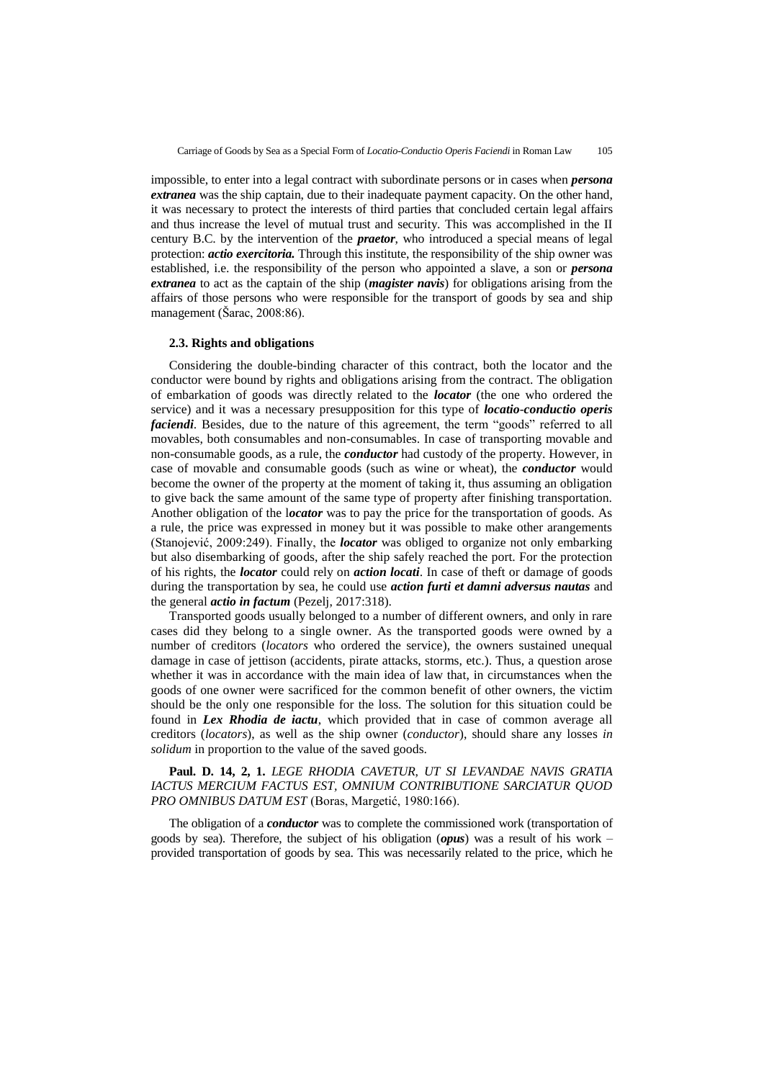impossible, to enter into a legal contract with subordinate persons or in cases when *persona extranea* was the ship captain, due to their inadequate payment capacity. On the other hand, it was necessary to protect the interests of third parties that concluded certain legal affairs and thus increase the level of mutual trust and security. This was accomplished in the II century B.C. by the intervention of the *praetor*, who introduced a special means of legal protection: *actio exercitoria.* Through this institute, the responsibility of the ship owner was established, i.e. the responsibility of the person who appointed a slave, a son or *persona extranea* to act as the captain of the ship (*magister navis*) for obligations arising from the affairs of those persons who were responsible for the transport of goods by sea and ship management (Šarac, 2008:86).

### **2.3. Rights and obligations**

Considering the double-binding character of this contract, both the locator and the conductor were bound by rights and obligations arising from the contract. The obligation of embarkation of goods was directly related to the *locator* (the one who ordered the service) and it was a necessary presupposition for this type of *locatio*-*conductio operis faciendi*. Besides, due to the nature of this agreement, the term "goods" referred to all movables, both consumables and non-consumables. In case of transporting movable and non-consumable goods, as a rule, the *conductor* had custody of the property. However, in case of movable and consumable goods (such as wine or wheat), the *conductor* would become the owner of the property at the moment of taking it, thus assuming an obligation to give back the same amount of the same type of property after finishing transportation. Another obligation of the l*ocator* was to pay the price for the transportation of goods. As a rule, the price was expressed in money but it was possible to make other arangements (Stanojević, 2009:249). Finally, the *locator* was obliged to organize not only embarking but also disembarking of goods, after the ship safely reached the port. For the protection of his rights, the *locator* could rely on *action locati*. In case of theft or damage of goods during the transportation by sea, he could use *action furti et damni adversus nautas* and the general *actio in factum* (Pezelj, 2017:318).

Transported goods usually belonged to a number of different owners, and only in rare cases did they belong to a single owner. As the transported goods were owned by a number of creditors (*locators* who ordered the service), the owners sustained unequal damage in case of jettison (accidents, pirate attacks, storms, etc.). Thus, a question arose whether it was in accordance with the main idea of law that, in circumstances when the goods of one owner were sacrificed for the common benefit of other owners, the victim should be the only one responsible for the loss. The solution for this situation could be found in *Lex Rhodia de iactu*, which provided that in case of common average all creditors (*locators*), as well as the ship owner (*conductor*), should share any losses *in solidum* in proportion to the value of the saved goods.

### **Paul. D. 14, 2, 1.** *LEGE RHODIA CAVETUR, UT SI LEVANDAE NAVIS GRATIA IACTUS MERCIUM FACTUS EST, OMNIUM CONTRIBUTIONE SARCIATUR QUOD PRO OMNIBUS DATUM EST* (Boras, Margetić, 1980:166).

The obligation of a *conductor* was to complete the commissioned work (transportation of goods by sea). Therefore, the subject of his obligation (*opus*) was a result of his work – provided transportation of goods by sea. This was necessarily related to the price, which he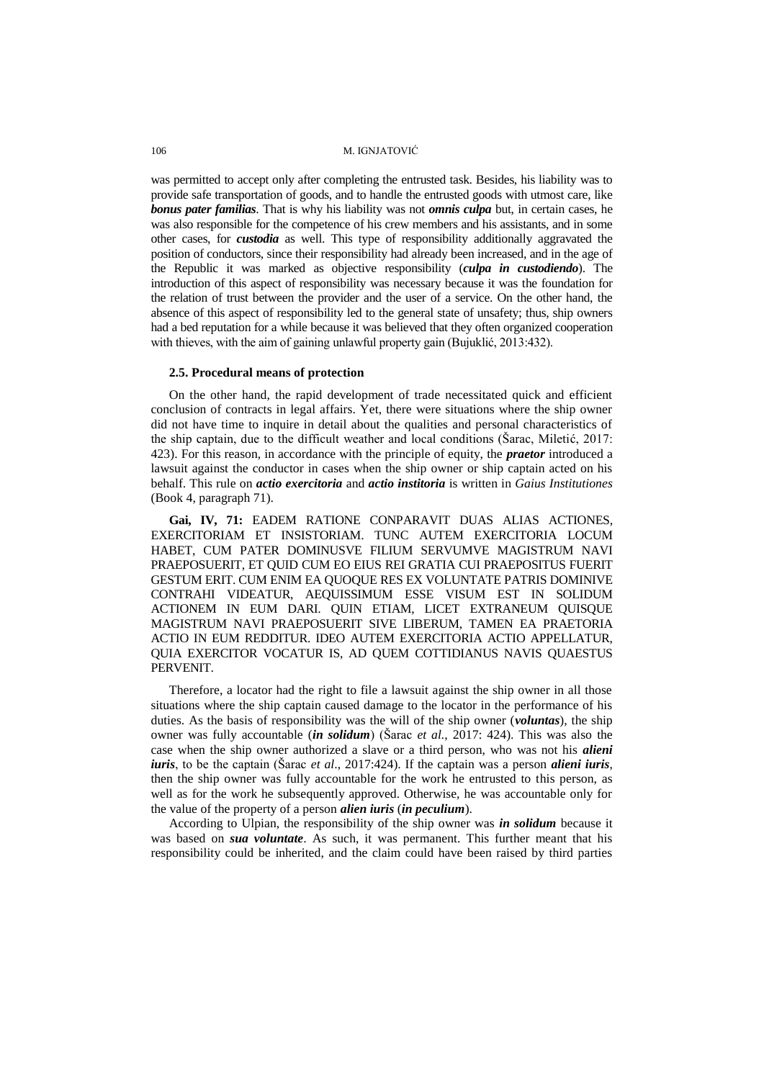106 M. IGNJATOVIĆ

was permitted to accept only after completing the entrusted task. Besides, his liability was to provide safe transportation of goods, and to handle the entrusted goods with utmost care, like *bonus pater familias*. That is why his liability was not *omnis culpa* but, in certain cases, he was also responsible for the competence of his crew members and his assistants, and in some other cases, for *custodia* as well. This type of responsibility additionally aggravated the position of conductors, since their responsibility had already been increased, and in the age of the Republic it was marked as objective responsibility (*culpa in custodiendo*). The introduction of this aspect of responsibility was necessary because it was the foundation for the relation of trust between the provider and the user of a service. On the other hand, the absence of this aspect of responsibility led to the general state of unsafety; thus, ship owners had a bed reputation for a while because it was believed that they often organized cooperation with thieves, with the aim of gaining unlawful property gain (Bujuklić, 2013:432).

#### **2.5. Procedural means of protection**

On the other hand, the rapid development of trade necessitated quick and efficient conclusion of contracts in legal affairs. Yet, there were situations where the ship owner did not have time to inquire in detail about the qualities and personal characteristics of the ship captain, due to the difficult weather and local conditions (Šarac, Miletić, 2017: 423). For this reason, in accordance with the principle of equity, the *praetor* introduced a lawsuit against the conductor in cases when the ship owner or ship captain acted on his behalf. This rule on *actio exercitoria* and *actio institoria* is written in *Gaius Institutiones*  (Book 4, paragraph 71).

**Gai, IV, 71:** EADEM RATIONE CONPARAVIT DUAS ALIAS ACTIONES, EXERCITORIAM ET INSISTORIAM. TUNC AUTEM EXERCITORIA LOCUM HABET, CUM PATER DOMINUSVE FILIUM SERVUMVE MAGISTRUM NAVI PRAEPOSUERIT, ET QUID CUM EO EIUS REI GRATIA CUI PRAEPOSITUS FUERIT GESTUM ERIT. CUM ENIM EA QUOQUE RES EX VOLUNTATE PATRIS DOMINIVE CONTRAHI VIDEATUR, AEQUISSIMUM ESSE VISUM EST IN SOLIDUM ACTIONEM IN EUM DARI. QUIN ETIAM, LICET EXTRANEUM QUISQUE MAGISTRUM NAVI PRAEPOSUERIT SIVE LIBERUM, TAMEN EA PRAETORIA ACTIO IN EUM REDDITUR. IDEO AUTEM EXERCITORIA ACTIO APPELLATUR, QUIA EXERCITOR VOCATUR IS, AD QUEM COTTIDIANUS NAVIS QUAESTUS PERVENIT.

Therefore, a locator had the right to file a lawsuit against the ship owner in all those situations where the ship captain caused damage to the locator in the performance of his duties. As the basis of responsibility was the will of the ship owner (*voluntas*), the ship owner was fully accountable (*in solidum*) (Šarac *et al.,* 2017: 424). This was also the case when the ship owner authorized a slave or a third person, who was not his *alieni iuris*, to be the captain (Šarac *et al*., 2017:424). If the captain was a person *alieni iuris*, then the ship owner was fully accountable for the work he entrusted to this person, as well as for the work he subsequently approved. Otherwise, he was accountable only for the value of the property of a person *alien iuris* (*in peculium*).

According to Ulpian, the responsibility of the ship owner was *in solidum* because it was based on *sua voluntate*. As such, it was permanent. This further meant that his responsibility could be inherited, and the claim could have been raised by third parties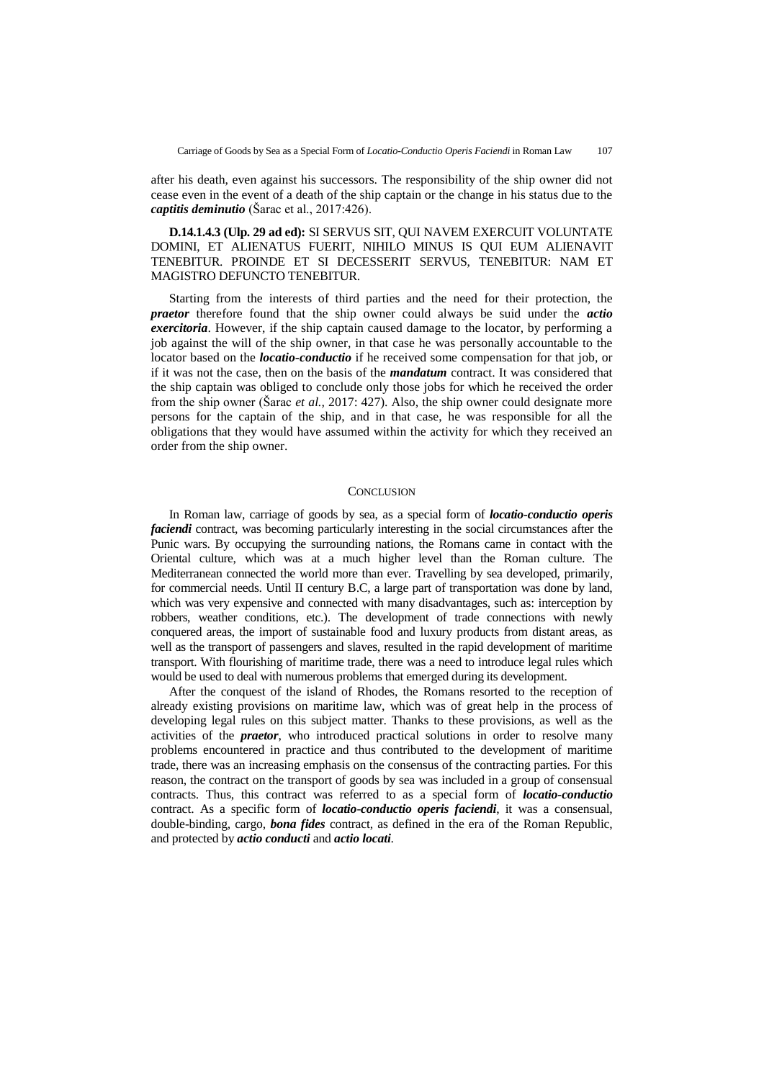after his death, even against his successors. The responsibility of the ship owner did not cease even in the event of a death of the ship captain or the change in his status due to the *captitis deminutio* (Šarac et al., 2017:426).

## **D.14.1.4.3 (Ulp. 29 ad ed):** SI SERVUS SIT, QUI NAVEM EXERCUIT VOLUNTATE DOMINI, ET ALIENATUS FUERIT, NIHILO MINUS IS QUI EUM ALIENAVIT TENEBITUR. PROINDE ET SI DECESSERIT SERVUS, TENEBITUR: NAM ET MAGISTRO DEFUNCTO TENEBITUR.

Starting from the interests of third parties and the need for their protection, the *praetor* therefore found that the ship owner could always be suid under the *actio exercitoria*. However, if the ship captain caused damage to the locator, by performing a job against the will of the ship owner, in that case he was personally accountable to the locator based on the *locatio-conductio* if he received some compensation for that job, or if it was not the case, then on the basis of the *mandatum* contract. It was considered that the ship captain was obliged to conclude only those jobs for which he received the order from the ship owner (Šarac *et al.,* 2017: 427). Also, the ship owner could designate more persons for the captain of the ship, and in that case, he was responsible for all the obligations that they would have assumed within the activity for which they received an order from the ship owner.

#### **CONCLUSION**

In Roman law, carriage of goods by sea, as a special form of *locatio-conductio operis faciendi* contract, was becoming particularly interesting in the social circumstances after the Punic wars. By occupying the surrounding nations, the Romans came in contact with the Oriental culture, which was at a much higher level than the Roman culture. The Mediterranean connected the world more than ever. Travelling by sea developed, primarily, for commercial needs. Until II century B.C, a large part of transportation was done by land, which was very expensive and connected with many disadvantages, such as: interception by robbers, weather conditions, etc.). The development of trade connections with newly conquered areas, the import of sustainable food and luxury products from distant areas, as well as the transport of passengers and slaves, resulted in the rapid development of maritime transport. With flourishing of maritime trade, there was a need to introduce legal rules which would be used to deal with numerous problems that emerged during its development.

After the conquest of the island of Rhodes, the Romans resorted to the reception of already existing provisions on maritime law, which was of great help in the process of developing legal rules on this subject matter. Thanks to these provisions, as well as the activities of the *praetor*, who introduced practical solutions in order to resolve many problems encountered in practice and thus contributed to the development of maritime trade, there was an increasing emphasis on the consensus of the contracting parties. For this reason, the contract on the transport of goods by sea was included in a group of consensual contracts. Thus, this contract was referred to as a special form of *locatio-conductio* contract. As a specific form of *locatio*-*conductio operis faciendi*, it was a consensual, double-binding, cargo, *bona fides* contract, as defined in the era of the Roman Republic, and protected by *actio conducti* and *actio locati*.